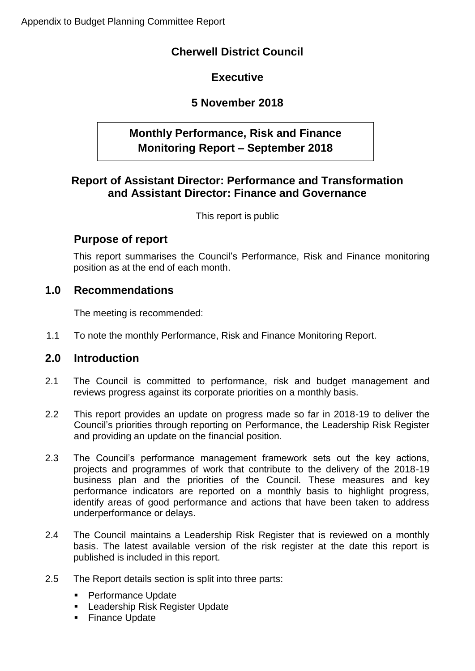# **Cherwell District Council**

# **Executive**

# **5 November 2018**

# **Monthly Performance, Risk and Finance Monitoring Report – September 2018**

## **Report of Assistant Director: Performance and Transformation and Assistant Director: Finance and Governance**

This report is public

# **Purpose of report**

This report summarises the Council's Performance, Risk and Finance monitoring position as at the end of each month.

## **1.0 Recommendations**

The meeting is recommended:

1.1 To note the monthly Performance, Risk and Finance Monitoring Report.

# **2.0 Introduction**

- 2.1 The Council is committed to performance, risk and budget management and reviews progress against its corporate priorities on a monthly basis.
- 2.2 This report provides an update on progress made so far in 2018-19 to deliver the Council's priorities through reporting on Performance, the Leadership Risk Register and providing an update on the financial position.
- 2.3 The Council's performance management framework sets out the key actions, projects and programmes of work that contribute to the delivery of the 2018-19 business plan and the priorities of the Council. These measures and key performance indicators are reported on a monthly basis to highlight progress, identify areas of good performance and actions that have been taken to address underperformance or delays.
- 2.4 The Council maintains a Leadership Risk Register that is reviewed on a monthly basis. The latest available version of the risk register at the date this report is published is included in this report.
- 2.5 The Report details section is split into three parts:
	- **Performance Update**
	- **Leadership Risk Register Update**
	- **Finance Update**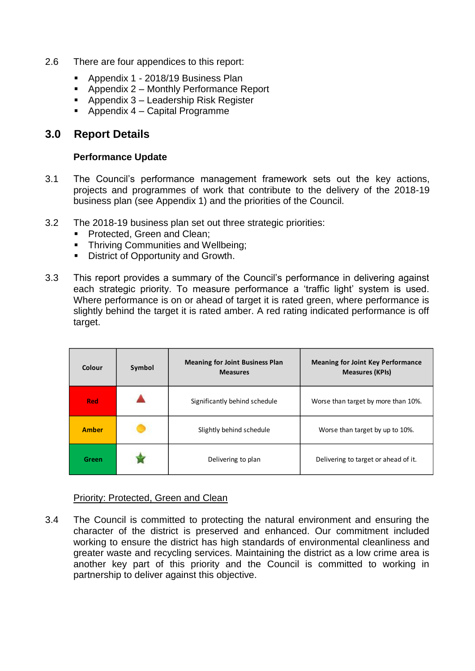- 2.6 There are four appendices to this report:
	- Appendix 1 2018/19 Business Plan
	- Appendix 2 Monthly Performance Report
	- **Appendix 3 Leadership Risk Register**
	- Appendix 4 Capital Programme

### **3.0 Report Details**

#### **Performance Update**

- 3.1 The Council's performance management framework sets out the key actions, projects and programmes of work that contribute to the delivery of the 2018-19 business plan (see Appendix 1) and the priorities of the Council.
- 3.2 The 2018-19 business plan set out three strategic priorities:
	- **Protected, Green and Clean;**
	- **Thriving Communities and Wellbeing;**
	- **District of Opportunity and Growth.**
- 3.3 This report provides a summary of the Council's performance in delivering against each strategic priority. To measure performance a 'traffic light' system is used. Where performance is on or ahead of target it is rated green, where performance is slightly behind the target it is rated amber. A red rating indicated performance is off target.

| Colour       | Symbol | <b>Meaning for Joint Business Plan</b><br><b>Measures</b> | <b>Meaning for Joint Key Performance</b><br><b>Measures (KPIs)</b> |
|--------------|--------|-----------------------------------------------------------|--------------------------------------------------------------------|
| <b>Red</b>   |        | Significantly behind schedule                             | Worse than target by more than 10%.                                |
| <b>Amber</b> |        | Slightly behind schedule                                  | Worse than target by up to 10%.                                    |
| Green        |        | Delivering to plan                                        | Delivering to target or ahead of it.                               |

#### Priority: Protected, Green and Clean

3.4 The Council is committed to protecting the natural environment and ensuring the character of the district is preserved and enhanced. Our commitment included working to ensure the district has high standards of environmental cleanliness and greater waste and recycling services. Maintaining the district as a low crime area is another key part of this priority and the Council is committed to working in partnership to deliver against this objective.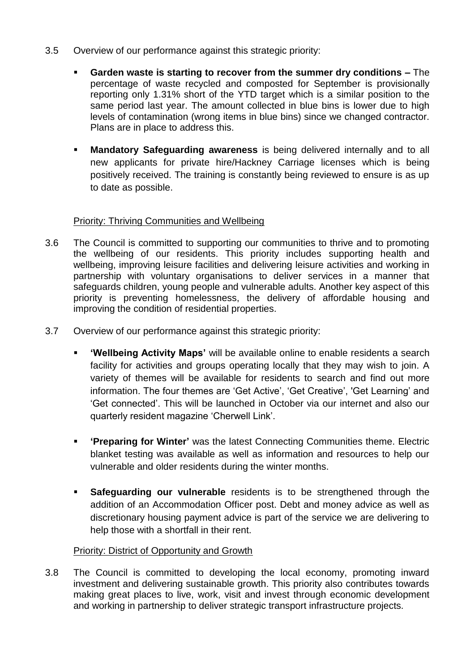- 3.5 Overview of our performance against this strategic priority:
	- **Garden waste is starting to recover from the summer dry conditions –** The percentage of waste recycled and composted for September is provisionally reporting only 1.31% short of the YTD target which is a similar position to the same period last year. The amount collected in blue bins is lower due to high levels of contamination (wrong items in blue bins) since we changed contractor. Plans are in place to address this.
	- **Mandatory Safeguarding awareness** is being delivered internally and to all new applicants for private hire/Hackney Carriage licenses which is being positively received. The training is constantly being reviewed to ensure is as up to date as possible.

### Priority: Thriving Communities and Wellbeing

- 3.6 The Council is committed to supporting our communities to thrive and to promoting the wellbeing of our residents. This priority includes supporting health and wellbeing, improving leisure facilities and delivering leisure activities and working in partnership with voluntary organisations to deliver services in a manner that safeguards children, young people and vulnerable adults. Another key aspect of this priority is preventing homelessness, the delivery of affordable housing and improving the condition of residential properties.
- 3.7 Overview of our performance against this strategic priority:
	- **'Wellbeing Activity Maps'** will be available online to enable residents a search facility for activities and groups operating locally that they may wish to join. A variety of themes will be available for residents to search and find out more information. The four themes are 'Get Active', 'Get Creative', 'Get Learning' and 'Get connected'. This will be launched in October via our internet and also our quarterly resident magazine 'Cherwell Link'.
	- **'Preparing for Winter'** was the latest Connecting Communities theme. Electric blanket testing was available as well as information and resources to help our vulnerable and older residents during the winter months.
	- **Safeguarding our vulnerable** residents is to be strengthened through the addition of an Accommodation Officer post. Debt and money advice as well as discretionary housing payment advice is part of the service we are delivering to help those with a shortfall in their rent.

### Priority: District of Opportunity and Growth

3.8 The Council is committed to developing the local economy, promoting inward investment and delivering sustainable growth. This priority also contributes towards making great places to live, work, visit and invest through economic development and working in partnership to deliver strategic transport infrastructure projects.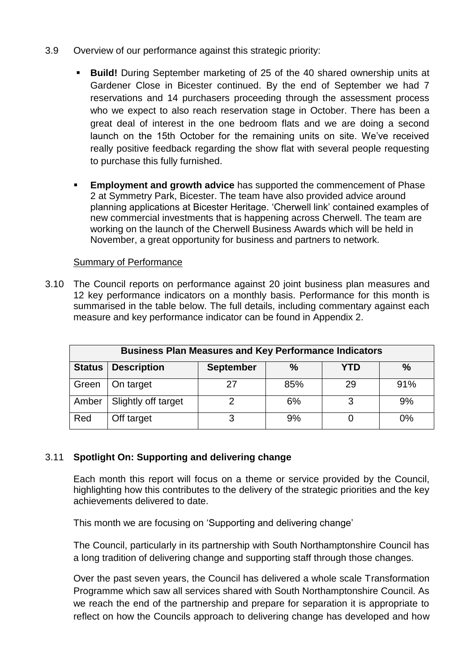- 3.9 Overview of our performance against this strategic priority:
	- **Build!** During September marketing of 25 of the 40 shared ownership units at Gardener Close in Bicester continued. By the end of September we had 7 reservations and 14 purchasers proceeding through the assessment process who we expect to also reach reservation stage in October. There has been a great deal of interest in the one bedroom flats and we are doing a second launch on the 15th October for the remaining units on site. We've received really positive feedback regarding the show flat with several people requesting to purchase this fully furnished.
	- **Employment and growth advice** has supported the commencement of Phase 2 at Symmetry Park, Bicester. The team have also provided advice around planning applications at Bicester Heritage. 'Cherwell link' contained examples of new commercial investments that is happening across Cherwell. The team are working on the launch of the Cherwell Business Awards which will be held in November, a great opportunity for business and partners to network.

### Summary of Performance

3.10 The Council reports on performance against 20 joint business plan measures and 12 key performance indicators on a monthly basis. Performance for this month is summarised in the table below. The full details, including commentary against each measure and key performance indicator can be found in Appendix 2.

| <b>Business Plan Measures and Key Performance Indicators</b> |                     |                  |      |     |      |  |
|--------------------------------------------------------------|---------------------|------------------|------|-----|------|--|
| <b>Status</b>                                                | <b>Description</b>  | <b>September</b> | $\%$ | YTD | $\%$ |  |
| Green                                                        | On target           |                  | 85%  | 29  | 91%  |  |
| Amber                                                        | Slightly off target |                  | 6%   | 3   | 9%   |  |
| Red                                                          | Off target          |                  | 9%   |     | 0%   |  |

### 3.11 **Spotlight On: Supporting and delivering change**

Each month this report will focus on a theme or service provided by the Council, highlighting how this contributes to the delivery of the strategic priorities and the key achievements delivered to date.

This month we are focusing on 'Supporting and delivering change'

The Council, particularly in its partnership with South Northamptonshire Council has a long tradition of delivering change and supporting staff through those changes.

Over the past seven years, the Council has delivered a whole scale Transformation Programme which saw all services shared with South Northamptonshire Council. As we reach the end of the partnership and prepare for separation it is appropriate to reflect on how the Councils approach to delivering change has developed and how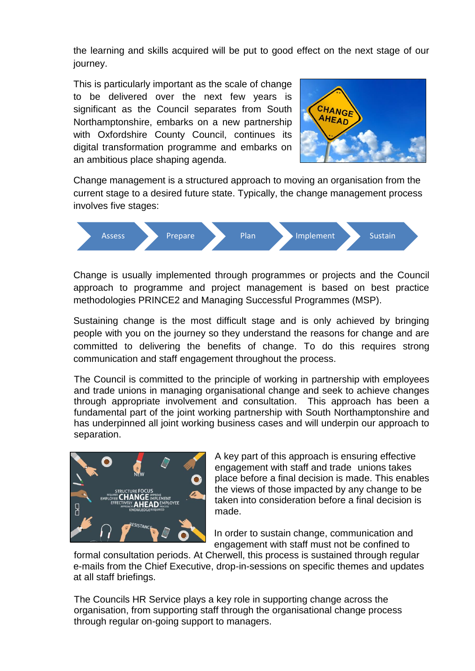the learning and skills acquired will be put to good effect on the next stage of our journey.

This is particularly important as the scale of change to be delivered over the next few years is significant as the Council separates from South Northamptonshire, embarks on a new partnership with Oxfordshire County Council, continues its digital transformation programme and embarks on an ambitious place shaping agenda.



Change management is a structured approach to moving an organisation from the current stage to a desired future state. Typically, the change management process involves five stages:



Change is usually implemented through programmes or projects and the Council approach to programme and project management is based on best practice methodologies PRINCE2 and Managing Successful Programmes (MSP).

Sustaining change is the most difficult stage and is only achieved by bringing people with you on the journey so they understand the reasons for change and are committed to delivering the benefits of change. To do this requires strong communication and staff engagement throughout the process.

The Council is committed to the principle of working in partnership with employees and trade unions in managing organisational change and seek to achieve changes through appropriate involvement and consultation. This approach has been a fundamental part of the joint working partnership with South Northamptonshire and has underpinned all joint working business cases and will underpin our approach to separation.



 A key part of this approach is ensuring effective engagement with staff and trade unions takes place before a final decision is made. This enables the views of those impacted by any change to be taken into consideration before a final decision is made.

In order to sustain change, communication and engagement with staff must not be confined to

formal consultation periods. At Cherwell, this process is sustained through regular e-mails from the Chief Executive, drop-in-sessions on specific themes and updates at all staff briefings.

The Councils HR Service plays a key role in supporting change across the organisation, from supporting staff through the organisational change process through regular on-going support to managers.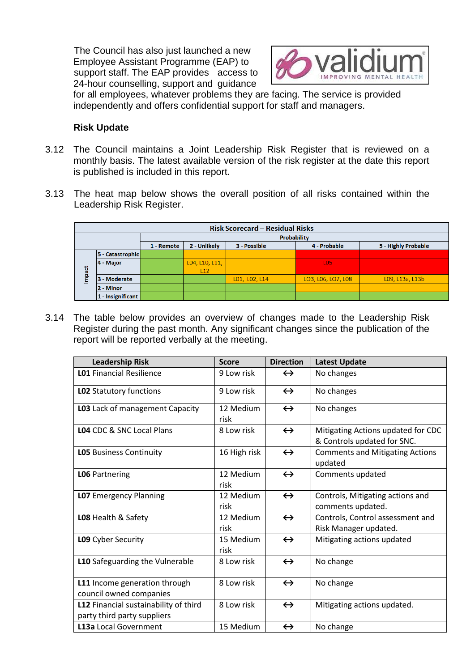The Council has also just launched a new Employee Assistant Programme (EAP) to support staff. The EAP provides access to 24-hour counselling, support and guidance



for all employees, whatever problems they are facing. The service is provided independently and offers confidential support for staff and managers.

#### **Risk Update**

- 3.12 The Council maintains a Joint Leadership Risk Register that is reviewed on a monthly basis. The latest available version of the risk register at the date this report is published is included in this report.
- 3.13 The heat map below shows the overall position of all risks contained within the Leadership Risk Register.

| <b>Risk Scorecard - Residual Risks</b>                                            |                   |  |                |               |                    |                 |  |
|-----------------------------------------------------------------------------------|-------------------|--|----------------|---------------|--------------------|-----------------|--|
|                                                                                   | Probability       |  |                |               |                    |                 |  |
| 4 - Probable<br>5 - Highly Probable<br>2 - Unlikely<br>3 - Possible<br>1 - Remote |                   |  |                |               |                    |                 |  |
|                                                                                   | 5 - Catastrophic  |  |                |               |                    |                 |  |
|                                                                                   | 4 - Major         |  | L04, L10, L11, |               | L <sub>05</sub>    |                 |  |
| <b>ti</b><br>B                                                                    |                   |  | L12            |               |                    |                 |  |
| Ē                                                                                 | 3 - Moderate      |  |                | LO1, LO2, L14 | LO3, L06, LO7, L08 | L09, L13a, L13b |  |
|                                                                                   | 2 - Minor         |  |                |               |                    |                 |  |
|                                                                                   | 1 - Insignificant |  |                |               |                    |                 |  |

3.14 The table below provides an overview of changes made to the Leadership Risk Register during the past month. Any significant changes since the publication of the report will be reported verbally at the meeting.

| <b>Leadership Risk</b>                                               | <b>Score</b>      | <b>Direction</b>  | <b>Latest Update</b>                                              |
|----------------------------------------------------------------------|-------------------|-------------------|-------------------------------------------------------------------|
| <b>L01 Financial Resilience</b>                                      | 9 Low risk        | $\leftrightarrow$ | No changes                                                        |
| LO2 Statutory functions                                              | 9 Low risk        | $\leftrightarrow$ | No changes                                                        |
| L03 Lack of management Capacity                                      | 12 Medium<br>risk | $\leftrightarrow$ | No changes                                                        |
| <b>L04 CDC &amp; SNC Local Plans</b>                                 | 8 Low risk        | $\leftrightarrow$ | Mitigating Actions updated for CDC<br>& Controls updated for SNC. |
| <b>LO5</b> Business Continuity                                       | 16 High risk      | $\leftrightarrow$ | <b>Comments and Mitigating Actions</b><br>updated                 |
| <b>LO6</b> Partnering                                                | 12 Medium<br>risk | $\leftrightarrow$ | Comments updated                                                  |
| <b>LO7</b> Emergency Planning                                        | 12 Medium<br>risk | $\leftrightarrow$ | Controls, Mitigating actions and<br>comments updated.             |
| LO8 Health & Safety                                                  | 12 Medium<br>risk | $\leftrightarrow$ | Controls, Control assessment and<br>Risk Manager updated.         |
| L09 Cyber Security                                                   | 15 Medium<br>risk | $\leftrightarrow$ | Mitigating actions updated                                        |
| L10 Safeguarding the Vulnerable                                      | 8 Low risk        | $\leftrightarrow$ | No change                                                         |
| L11 Income generation through<br>council owned companies             | 8 Low risk        | $\leftrightarrow$ | No change                                                         |
| L12 Financial sustainability of third<br>party third party suppliers | 8 Low risk        | $\leftrightarrow$ | Mitigating actions updated.                                       |
| L13a Local Government                                                | 15 Medium         | $\leftrightarrow$ | No change                                                         |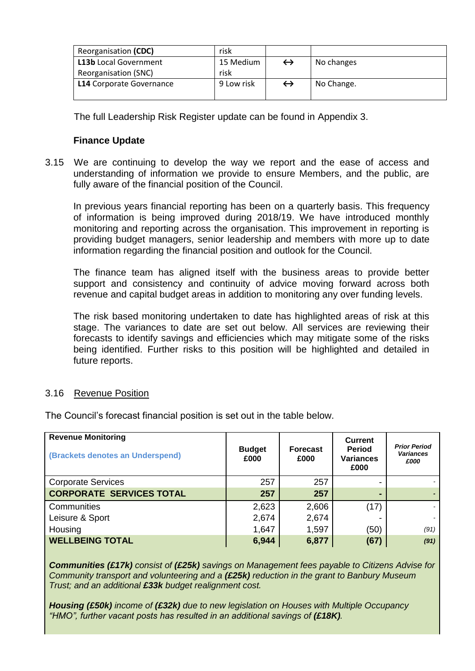| Reorganisation (CDC)            | risk       |            |
|---------------------------------|------------|------------|
| <b>L13b</b> Local Government    | 15 Medium  | No changes |
| Reorganisation (SNC)            | risk       |            |
| <b>L14</b> Corporate Governance | 9 Low risk | No Change. |
|                                 |            |            |

The full Leadership Risk Register update can be found in Appendix 3.

#### **Finance Update**

3.15 We are continuing to develop the way we report and the ease of access and understanding of information we provide to ensure Members, and the public, are fully aware of the financial position of the Council.

In previous years financial reporting has been on a quarterly basis. This frequency of information is being improved during 2018/19. We have introduced monthly monitoring and reporting across the organisation. This improvement in reporting is providing budget managers, senior leadership and members with more up to date information regarding the financial position and outlook for the Council.

The finance team has aligned itself with the business areas to provide better support and consistency and continuity of advice moving forward across both revenue and capital budget areas in addition to monitoring any over funding levels.

The risk based monitoring undertaken to date has highlighted areas of risk at this stage. The variances to date are set out below. All services are reviewing their forecasts to identify savings and efficiencies which may mitigate some of the risks being identified. Further risks to this position will be highlighted and detailed in future reports.

#### 3.16 Revenue Position

The Council's forecast financial position is set out in the table below.

| <b>Revenue Monitoring</b><br>(Brackets denotes an Underspend) | <b>Budget</b><br>£000 | <b>Forecast</b><br>£000 | <b>Current</b><br><b>Period</b><br><b>Variances</b><br>£000 | <b>Prior Period</b><br><b>Variances</b><br>£000 |
|---------------------------------------------------------------|-----------------------|-------------------------|-------------------------------------------------------------|-------------------------------------------------|
| <b>Corporate Services</b>                                     | 257                   | 257                     |                                                             |                                                 |
| <b>CORPORATE SERVICES TOTAL</b>                               | 257                   | 257                     |                                                             |                                                 |
| Communities                                                   | 2,623                 | 2,606                   | (17)                                                        |                                                 |
| Leisure & Sport                                               | 2,674                 | 2,674                   |                                                             |                                                 |
| Housing                                                       | 1,647                 | 1,597                   | (50)                                                        | (91)                                            |
| <b>WELLBEING TOTAL</b>                                        | 6,944                 | 6,877                   | (67)                                                        | (91)                                            |

*Communities (£17k) consist of (£25k) savings on Management fees payable to Citizens Advise for Community transport and volunteering and a (£25k) reduction in the grant to Banbury Museum Trust; and an additional £33k budget realignment cost.*

*Housing (£50k) income of (£32k) due to new legislation on Houses with Multiple Occupancy*  "HMO", further vacant posts has resulted in an additional savings of (£18K).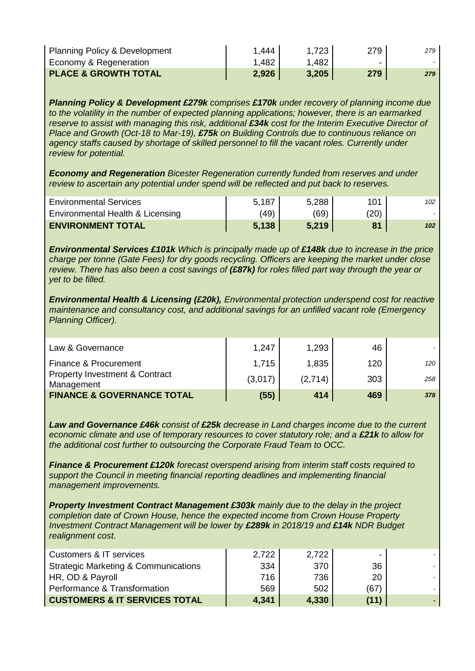| <b>Planning Policy &amp; Development</b> | 1,444 | $1,723$  | 279 | 279 |
|------------------------------------------|-------|----------|-----|-----|
| Economy & Regeneration                   | 1,482 | ا 482. ا | -   |     |
| <b>PLACE &amp; GROWTH TOTAL</b>          | 2,926 | 3,205    | 279 | 279 |

*Planning Policy & Development £279k comprises £170k under recovery of planning income due to the volatility in the number of expected planning applications; however, there is an earmarked reserve to assist with managing this risk, additional £34k cost for the Interim Executive Director of Place and Growth (Oct-18 to Mar-19), £75k on Building Controls due to continuous reliance on agency staffs caused by shortage of skilled personnel to fill the vacant roles. Currently under review for potential.*

*Economy and Regeneration Bicester Regeneration currently funded from reserves and under review to ascertain any potential under spend will be reflected and put back to reserves.*

| <b>ENVIRONMENT TOTAL</b>         | 5,138 | 5.219 | Q <sub>1</sub> | 102 |
|----------------------------------|-------|-------|----------------|-----|
| Environmental Health & Licensing | (49)  | (69)  | (20)           |     |
| <b>Environmental Services</b>    | 5,187 | 5,288 | 101            | 102 |

*Environmental Services £101k Which is principally made up of £148k due to increase in the price charge per tonne (Gate Fees) for dry goods recycling. Officers are keeping the market under close review. There has also been a cost savings of (£87k) for roles filled part way through the year or yet to be filled.*

*Environmental Health & Licensing (£20k), Environmental protection underspend cost for reactive maintenance and consultancy cost, and additional savings for an unfilled vacant role (Emergency Planning Officer).*

| Law & Governance                                        | 1,247   | 1,293   | 46  |     |
|---------------------------------------------------------|---------|---------|-----|-----|
| Finance & Procurement                                   | 1,715   | 1,835   | 120 | 120 |
| <b>Property Investment &amp; Contract</b><br>Management | (3,017) | (2,714) | 303 | 258 |
| <b>FINANCE &amp; GOVERNANCE TOTAL</b>                   | (55)    | 414     | 469 | 378 |

*Law and Governance £46k consist of £25k decrease in Land charges income due to the current economic climate and use of temporary resources to cover statutory role; and a £21k to allow for the additional cost further to outsourcing the Corporate Fraud Team to OCC.*

*Finance & Procurement £120k forecast overspend arising from interim staff costs required to support the Council in meeting financial reporting deadlines and implementing financial management improvements.*

*Property Investment Contract Management £303k mainly due to the delay in the project completion date of Crown House, hence the expected income from Crown House Property Investment Contract Management will be lower by £289k in 2018/19 and £14k NDR Budget realignment cost.*

| Customers & IT services                         | 2,722 | 2,722 |      |  |
|-------------------------------------------------|-------|-------|------|--|
| <b>Strategic Marketing &amp; Communications</b> | 334   | 370   | 36   |  |
| HR, OD & Payroll                                | 716.  | 736   | 20   |  |
| Performance & Transformation                    | 569   | 502   | (67) |  |
| <b>CUSTOMERS &amp; IT SERVICES TOTAL</b>        | 4,341 | 4,330 | (11) |  |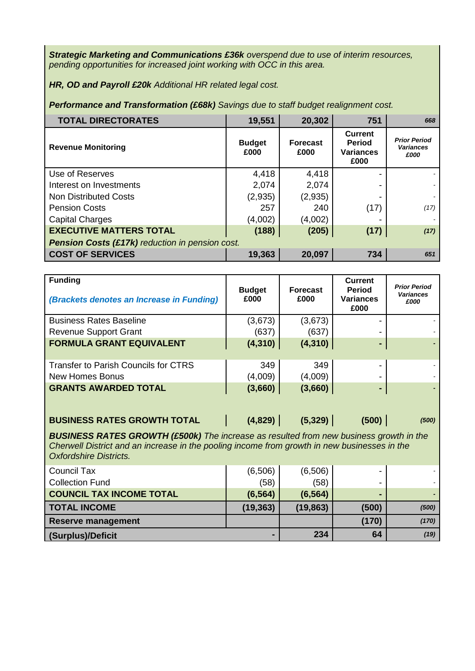*Strategic Marketing and Communications £36k overspend due to use of interim resources, pending opportunities for increased joint working with OCC in this area.*

*HR, OD and Payroll £20k Additional HR related legal cost.*

*Performance and Transformation (£68k) Savings due to staff budget realignment cost.*

| <b>TOTAL DIRECTORATES</b>                              | 19,551                | 20,302                  | 751                                                         | 668                                             |  |  |
|--------------------------------------------------------|-----------------------|-------------------------|-------------------------------------------------------------|-------------------------------------------------|--|--|
| <b>Revenue Monitoring</b>                              | <b>Budget</b><br>£000 | <b>Forecast</b><br>£000 | <b>Current</b><br><b>Period</b><br><b>Variances</b><br>£000 | <b>Prior Period</b><br><b>Variances</b><br>£000 |  |  |
| Use of Reserves                                        | 4,418                 | 4,418                   |                                                             |                                                 |  |  |
| Interest on Investments                                | 2,074                 | 2,074                   |                                                             |                                                 |  |  |
| <b>Non Distributed Costs</b>                           | (2,935)               | (2,935)                 |                                                             |                                                 |  |  |
| <b>Pension Costs</b>                                   | 257                   | 240                     | (17)                                                        | (17)                                            |  |  |
| <b>Capital Charges</b>                                 | (4,002)               | (4,002)                 |                                                             |                                                 |  |  |
| <b>EXECUTIVE MATTERS TOTAL</b>                         | (188)                 | (205)                   | (17)                                                        | (17)                                            |  |  |
| <b>Pension Costs (£17k)</b> reduction in pension cost. |                       |                         |                                                             |                                                 |  |  |
| <b>COST OF SERVICES</b>                                | 19,363                | 20,097                  | 734                                                         | 651                                             |  |  |

| <b>Funding</b><br>(Brackets denotes an Increase in Funding) | <b>Budget</b><br>£000 | <b>Forecast</b><br>£000 | <b>Current</b><br><b>Period</b><br><b>Variances</b><br>£000 | <b>Prior Period</b><br><b>Variances</b><br>£000 |
|-------------------------------------------------------------|-----------------------|-------------------------|-------------------------------------------------------------|-------------------------------------------------|
| <b>Business Rates Baseline</b>                              | (3,673)               | (3,673)                 |                                                             |                                                 |
| <b>Revenue Support Grant</b>                                | (637)                 | (637)                   |                                                             |                                                 |
| <b>FORMULA GRANT EQUIVALENT</b>                             | (4, 310)              | (4, 310)                | -                                                           |                                                 |
| <b>Transfer to Parish Councils for CTRS</b>                 | 349                   | 349                     | -                                                           |                                                 |
| <b>New Homes Bonus</b>                                      | (4,009)               | (4,009)                 |                                                             |                                                 |
| <b>GRANTS AWARDED TOTAL</b>                                 | (3,660)               | (3,660)                 | ٠                                                           |                                                 |
| <b>BUSINESS RATES GROWTH TOTAL</b>                          | (4,829)               | (5, 329)                | (500)                                                       | (500)                                           |

*BUSINESS RATES GROWTH (£500k) The increase as resulted from new business growth in the Cherwell District and an increase in the pooling income from growth in new businesses in the Oxfordshire Districts.*

| <b>Council Tax</b>              | (6,506)   | (6,506)   | -     |       |
|---------------------------------|-----------|-----------|-------|-------|
| <b>Collection Fund</b>          | (58)      | (58)      |       |       |
| <b>COUNCIL TAX INCOME TOTAL</b> | (6, 564)  | (6, 564)  |       |       |
| <b>TOTAL INCOME</b>             | (19, 363) | (19, 863) | (500) | (500) |
| <b>Reserve management</b>       |           |           | (170) | (170) |
| (Surplus)/Deficit               | -         | 234       | 64    | (19)  |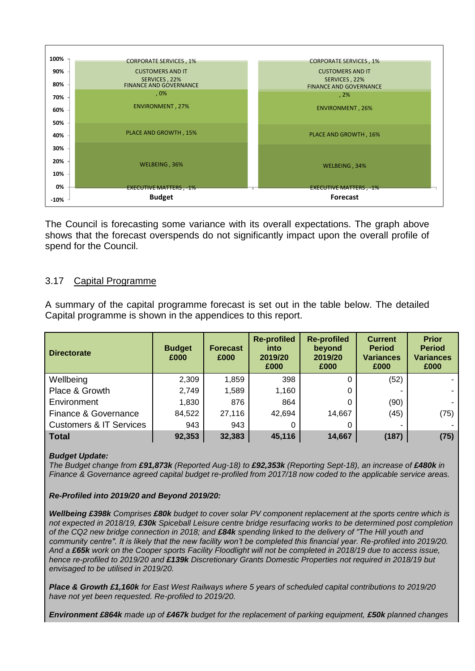

The Council is forecasting some variance with its overall expectations. The graph above shows that the forecast overspends do not significantly impact upon the overall profile of spend for the Council.

#### 3.17 Capital Programme

A summary of the capital programme forecast is set out in the table below. The detailed Capital programme is shown in the appendices to this report.

| <b>Directorate</b>                 | <b>Budget</b><br>£000 | <b>Forecast</b><br>£000 | <b>Re-profiled</b><br>into<br>2019/20<br>£000 | <b>Re-profiled</b><br>beyond<br>2019/20<br>£000 | <b>Current</b><br><b>Period</b><br><b>Variances</b><br>£000 | <b>Prior</b><br><b>Period</b><br><b>Variances</b><br>£000 |
|------------------------------------|-----------------------|-------------------------|-----------------------------------------------|-------------------------------------------------|-------------------------------------------------------------|-----------------------------------------------------------|
| Wellbeing                          | 2,309                 | 1,859                   | 398                                           |                                                 | (52)                                                        |                                                           |
| Place & Growth                     | 2,749                 | 1,589                   | 1,160                                         | 0                                               |                                                             |                                                           |
| Environment                        | 1,830                 | 876                     | 864                                           |                                                 | (90)                                                        |                                                           |
| Finance & Governance               | 84,522                | 27,116                  | 42,694                                        | 14,667                                          | (45)                                                        | (75)                                                      |
| <b>Customers &amp; IT Services</b> | 943                   | 943                     |                                               |                                                 |                                                             |                                                           |
| Total                              | 92,353                | 32,383                  | 45,116                                        | 14,667                                          | (187)                                                       | (75)                                                      |

#### *Budget Update:*

*The Budget change from £91,873k (Reported Aug-18) to £92,353k (Reporting Sept-18), an increase of £480k in Finance & Governance agreed capital budget re-profiled from 2017/18 now coded to the applicable service areas.*

*Re-Profiled into 2019/20 and Beyond 2019/20:* 

*Wellbeing £398k Comprises £80k budget to cover solar PV component replacement at the sports centre which is not expected in 2018/19, £30k Spiceball Leisure centre bridge resurfacing works to be determined post completion of the CQ2 new bridge connection in 2018; and £84k spending linked to the delivery of "The Hill youth and community centre". It is likely that the new facility won't be completed this financial year. Re-profiled into 2019/20. And a £65k work on the Cooper sports Facility Floodlight will not be completed in 2018/19 due to access issue, hence re-profiled to 2019/20 and £139k Discretionary Grants Domestic Properties not required in 2018/19 but envisaged to be utilised in 2019/20.*

*Place & Growth £1,160k for East West Railways where 5 years of scheduled capital contributions to 2019/20 have not yet been requested. Re-profiled to 2019/20.*

*Environment £864k made up of £467k budget for the replacement of parking equipment, £50k planned changes*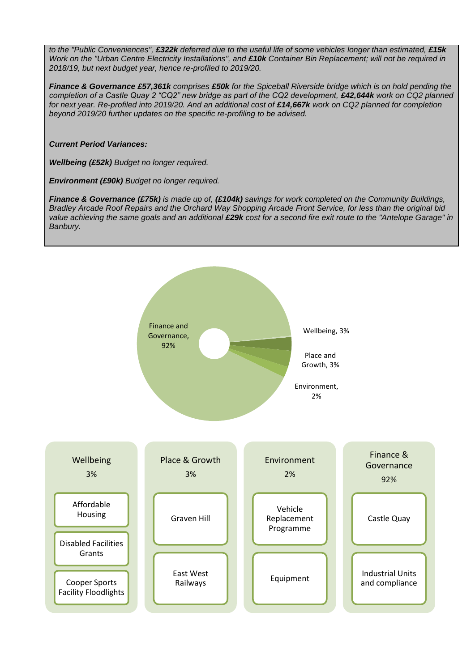*to the "Public Conveniences", £322k deferred due to the useful life of some vehicles longer than estimated, £15k Work on the "Urban Centre Electricity Installations", and £10k Container Bin Replacement; will not be required in 2018/19, but next budget year, hence re-profiled to 2019/20.*

*Finance & Governance £57,361k comprises £50k for the Spiceball Riverside bridge which is on hold pending the completion of a Castle Quay 2 "CQ2" new bridge as part of the CQ2 development, £42,644k work on CQ2 planned* for next year. Re-profiled into 2019/20. And an additional cost of £14,667k work on CQ2 planned for completion *beyond 2019/20 further updates on the specific re-profiling to be advised.* 

*Current Period Variances:* 

*Wellbeing (£52k) Budget no longer required.*

*Environment (£90k) Budget no longer required.*

*Finance & Governance (£75k) is made up of, (£104k) savings for work completed on the Community Buildings, Bradley Arcade Roof Repairs and the Orchard Way Shopping Arcade Front Service, for less than the original bid value achieving the same goals and an additional £29k cost for a second fire exit route to the "Antelope Garage" in Banbury.*

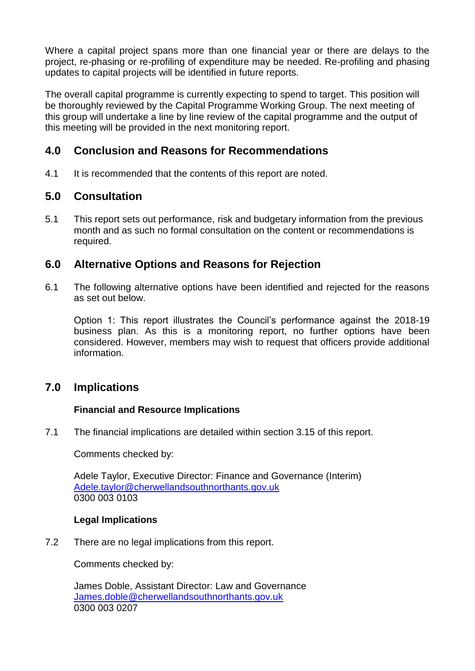Where a capital project spans more than one financial year or there are delays to the project, re-phasing or re-profiling of expenditure may be needed. Re-profiling and phasing updates to capital projects will be identified in future reports.

The overall capital programme is currently expecting to spend to target. This position will be thoroughly reviewed by the Capital Programme Working Group. The next meeting of this group will undertake a line by line review of the capital programme and the output of this meeting will be provided in the next monitoring report.

# **4.0 Conclusion and Reasons for Recommendations**

4.1 It is recommended that the contents of this report are noted.

# **5.0 Consultation**

5.1 This report sets out performance, risk and budgetary information from the previous month and as such no formal consultation on the content or recommendations is required.

# **6.0 Alternative Options and Reasons for Rejection**

6.1 The following alternative options have been identified and rejected for the reasons as set out below.

Option 1: This report illustrates the Council's performance against the 2018-19 business plan. As this is a monitoring report, no further options have been considered. However, members may wish to request that officers provide additional information.

# **7.0 Implications**

### **Financial and Resource Implications**

7.1 The financial implications are detailed within section 3.15 of this report.

Comments checked by:

Adele Taylor, Executive Director: Finance and Governance (Interim) [Adele.taylor@cherwellandsouthnorthants.gov.uk](mailto:Adele.taylor@cherwellandsouthnorthants.gov.uk) 0300 003 0103

### **Legal Implications**

7.2 There are no legal implications from this report.

Comments checked by:

James Doble, Assistant Director: Law and Governance [James.doble@cherwellandsouthnorthants.gov.uk](mailto:James.doble@cherwellandsouthnorthants.gov.uk) 0300 003 0207